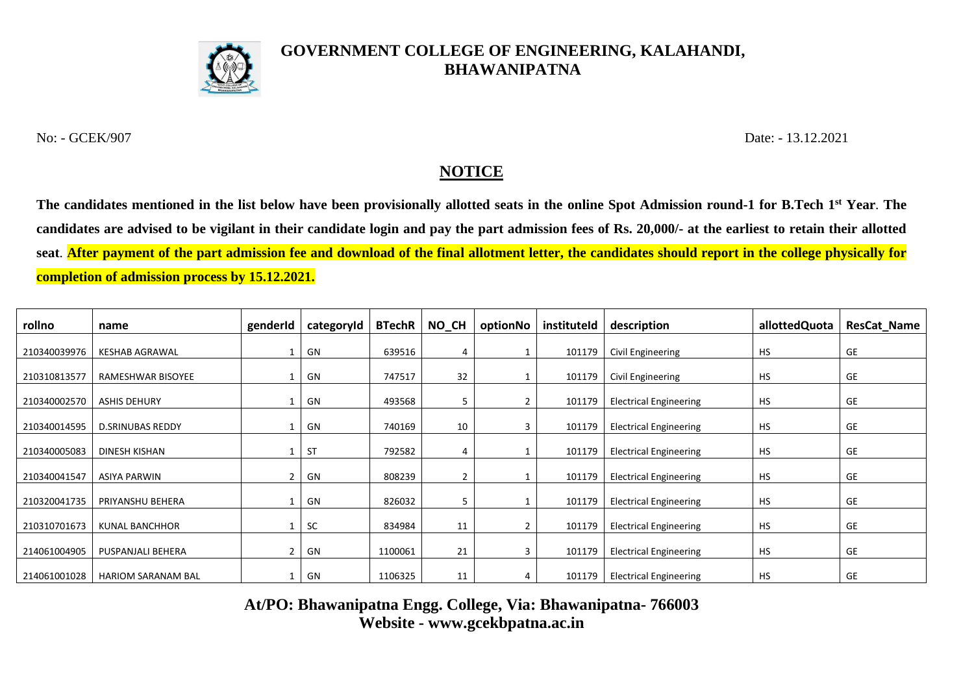

## **GOVERNMENT COLLEGE OF ENGINEERING, KALAHANDI, BHAWANIPATNA**

No: - GCEK/907 Date: - 13.12.2021

## **NOTICE**

**The candidates mentioned in the list below have been provisionally allotted seats in the online Spot Admission round-1 for B.Tech 1st Year**. **The candidates are advised to be vigilant in their candidate login and pay the part admission fees of Rs. 20,000/- at the earliest to retain their allotted seat**. **After payment of the part admission fee and download of the final allotment letter, the candidates should report in the college physically for completion of admission process by 15.12.2021.**

| rollno       | name                      | genderId       | categoryId | <b>BTechR</b> | NO_CH          | optionNo | instituteld | description                   | allottedQuota | <b>ResCat_Name</b> |
|--------------|---------------------------|----------------|------------|---------------|----------------|----------|-------------|-------------------------------|---------------|--------------------|
| 210340039976 | <b>KESHAB AGRAWAL</b>     |                | GN         | 639516        | 4              |          | 101179      | Civil Engineering             | <b>HS</b>     | GE                 |
| 210310813577 | RAMESHWAR BISOYEE         |                | GN         | 747517        | 32             |          | 101179      | Civil Engineering             | <b>HS</b>     | GE                 |
| 210340002570 | <b>ASHIS DEHURY</b>       |                | GN         | 493568        | 5              | 2        | 101179      | <b>Electrical Engineering</b> | HS            | GE                 |
| 210340014595 | <b>D.SRINUBAS REDDY</b>   |                | GN         | 740169        | 10             | 3        | 101179      | <b>Electrical Engineering</b> | <b>HS</b>     | GE                 |
| 210340005083 | DINESH KISHAN             |                | <b>ST</b>  | 792582        | 4              |          | 101179      | <b>Electrical Engineering</b> | HS            | GE                 |
| 210340041547 | ASIYA PARWIN              | 2              | GN         | 808239        | $\overline{2}$ |          | 101179      | <b>Electrical Engineering</b> | <b>HS</b>     | GE                 |
| 210320041735 | PRIYANSHU BEHERA          |                | GN         | 826032        | 5              |          | 101179      | <b>Electrical Engineering</b> | HS            | GE                 |
| 210310701673 | <b>KUNAL BANCHHOR</b>     |                | <b>SC</b>  | 834984        | 11             | 2        | 101179      | <b>Electrical Engineering</b> | <b>HS</b>     | GE                 |
| 214061004905 | PUSPANJALI BEHERA         | $\overline{2}$ | GN         | 1100061       | 21             | 3        | 101179      | <b>Electrical Engineering</b> | HS            | GE                 |
| 214061001028 | <b>HARIOM SARANAM BAL</b> |                | GN         | 1106325       | 11             | 4        | 101179      | <b>Electrical Engineering</b> | <b>HS</b>     | GE                 |

**At/PO: Bhawanipatna Engg. College, Via: Bhawanipatna- 766003 Website - www.gcekbpatna.ac.in**